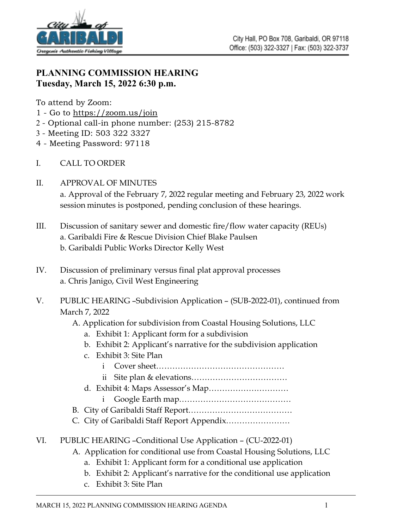

## **PLANNING COMMISSION HEARING Tuesday, March 15, 2022 6:30 p.m.**

To attend by Zoom:

- 1 Go to<https://zoom.us/join>
- 2 Optional call-in phone number: (253) 215-8782
- 3 Meeting ID: 503 322 3327
- 4 Meeting Password: 97118
- I. CALL TO ORDER
- II. APPROVAL OF MINUTES

a. Approval of the February 7, 2022 regular meeting and February 23, 2022 work session minutes is postponed, pending conclusion of these hearings.

- III. Discussion of sanitary sewer and domestic fire/flow water capacity (REUs) a. Garibaldi Fire & Rescue Division Chief Blake Paulsen b. Garibaldi Public Works Director Kelly West
- IV. Discussion of preliminary versus final plat approval processes a. Chris Janigo, Civil West Engineering
- V. PUBLIC HEARING –Subdivision Application (SUB-2022-01), continued from March 7, 2022
	- A. Application for subdivision from Coastal Housing Solutions, LLC
		- a. Exhibit 1: Applicant form for a subdivision
		- b. Exhibit 2: Applicant's narrative for the subdivision application
		- c. Exhibit 3: Site Plan
			- i Cover sheet…………………………………………
			- ii Site plan & elevations………………………………
		- d. Exhibit 4: Maps Assessor's Map…………………………
			- i Google Earth map……………………………………
	- B. City of Garibaldi Staff Report…………………………………
	- C. City of Garibaldi Staff Report Appendix……………………
- VI. PUBLIC HEARING –Conditional Use Application (CU-2022-01)
	- A. Application for conditional use from Coastal Housing Solutions, LLC
		- a. Exhibit 1: Applicant form for a conditional use application
		- b. Exhibit 2: Applicant's narrative for the conditional use application
		- c. Exhibit 3: Site Plan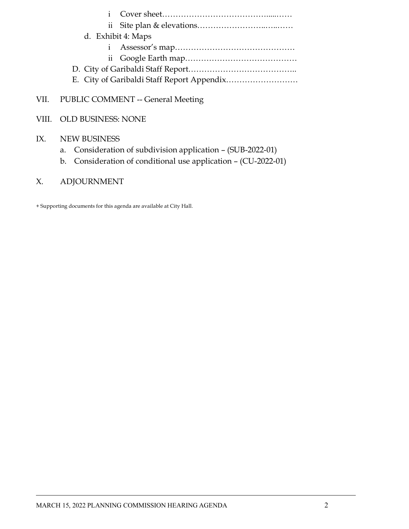|  | d. Exhibit 4: Maps |                                        |
|--|--------------------|----------------------------------------|
|  |                    |                                        |
|  |                    |                                        |
|  |                    |                                        |
|  |                    | VII. PUBLIC COMMENT -- General Meeting |

## IX. NEW BUSINESS

VIII. OLD BUSINESS: NONE

- a. Consideration of subdivision application (SUB-2022-01)
- b. Consideration of conditional use application (CU-2022-01)

## X. ADJOURNMENT

+ Supporting documents for this agenda are available at City Hall.